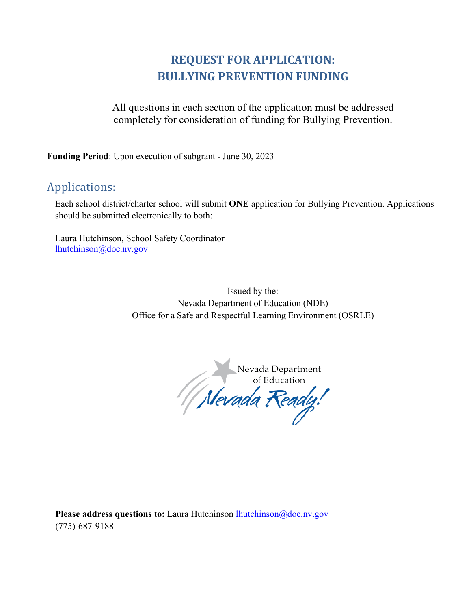# **REQUEST FOR APPLICATION: BULLYING PREVENTION FUNDING**

All questions in each section of the application must be addressed completely for consideration of funding for Bullying Prevention.

**Funding Period**: Upon execution of subgrant - June 30, 2023

# Applications:

Each school district/charter school will submit **ONE** application for Bullying Prevention. Applications should be submitted electronically to both:

Laura Hutchinson, School Safety Coordinator [lhutchinson@doe.nv.gov](mailto:lhutchinson@doe.nv.gov)

> Issued by the: Nevada Department of Education (NDE) Office for a Safe and Respectful Learning Environment (OSRLE)

Nevada Department<br>of Education

**Please address questions to:** Laura Hutchinson [lhutchinson@doe.nv.gov](mailto:lhutchinson@doe.nv.gov) (775)-687-9188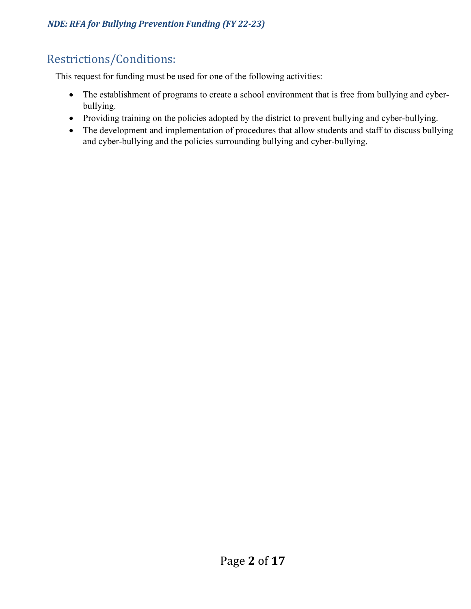# Restrictions/Conditions:

This request for funding must be used for one of the following activities:

- The establishment of programs to create a school environment that is free from bullying and cyberbullying.
- Providing training on the policies adopted by the district to prevent bullying and cyber-bullying.
- The development and implementation of procedures that allow students and staff to discuss bullying and cyber-bullying and the policies surrounding bullying and cyber-bullying.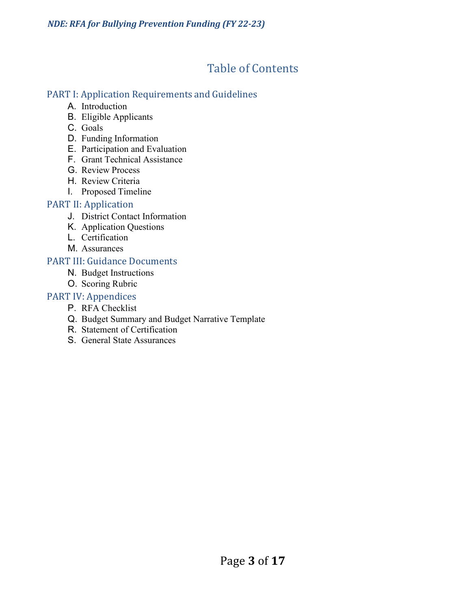# Table of Contents

# PART I: Application Requirements and Guidelines

- A. Introduction
- B. Eligible Applicants
- C. Goals
- D. Funding Information
- E. Participation and Evaluation
- F. Grant Technical Assistance
- G. Review Process
- H. Review Criteria
- I. Proposed Timeline

# PART II: Application

- J. District Contact Information
- K. Application Questions
- L. Certification
- M. Assurances

# PART III: Guidance Documents

- N. Budget Instructions
- O. Scoring Rubric

# PART IV: Appendices

- P. RFA Checklist
- Q. Budget Summary and Budget Narrative Template
- R. Statement of Certification
- S. General State Assurances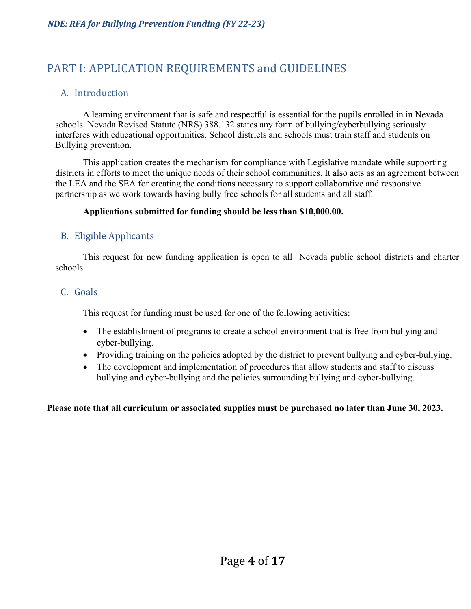# PART I: APPLICATION REQUIREMENTS and GUIDELINES

# A. Introduction

A learning environment that is safe and respectful is essential for the pupils enrolled in in Nevada schools. Nevada Revised Statute (NRS) 388.132 states any form of bullying/cyberbullying seriously interferes with educational opportunities. School districts and schools must train staff and students on Bullying prevention.

This application creates the mechanism for compliance with Legislative mandate while supporting districts in efforts to meet the unique needs of their school communities. It also acts as an agreement between the LEA and the SEA for creating the conditions necessary to support collaborative and responsive partnership as we work towards having bully free schools for all students and all staff.

#### **Applications submitted for funding should be less than \$10,000.00.**

#### B. Eligible Applicants

This request for new funding application is open to all Nevada public school districts and charter schools.

#### C. Goals

This request for funding must be used for one of the following activities:

- The establishment of programs to create a school environment that is free from bullying and cyber-bullying.
- Providing training on the policies adopted by the district to prevent bullying and cyber-bullying.
- The development and implementation of procedures that allow students and staff to discuss bullying and cyber-bullying and the policies surrounding bullying and cyber-bullying.

**Please note that all curriculum or associated supplies must be purchased no later than June 30, 2023.**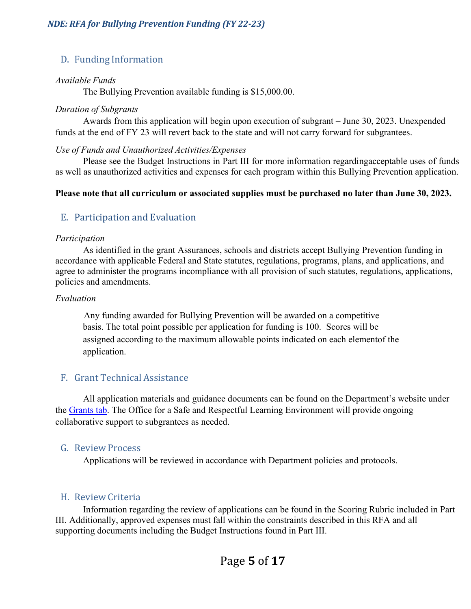# D. Funding Information

#### *Available Funds*

The Bullying Prevention available funding is \$15,000.00.

#### *Duration of Subgrants*

Awards from this application will begin upon execution of subgrant – June 30, 2023. Unexpended funds at the end of FY 23 will revert back to the state and will not carry forward for subgrantees.

#### *Use of Funds and Unauthorized Activities/Expenses*

Please see the Budget Instructions in Part III for more information regardingacceptable uses of funds as well as unauthorized activities and expenses for each program within this Bullying Prevention application.

#### **Please note that all curriculum or associated supplies must be purchased no later than June 30, 2023.**

#### E. Participation and Evaluation

#### *Participation*

As identified in the grant Assurances, schools and districts accept Bullying Prevention funding in accordance with applicable Federal and State statutes, regulations, programs, plans, and applications, and agree to administer the programs incompliance with all provision of such statutes, regulations, applications, policies and amendments.

#### *Evaluation*

Any funding awarded for Bullying Prevention will be awarded on a competitive basis. The total point possible per application for funding is 100. Scores will be assigned according to the maximum allowable points indicated on each elementof the application.

#### F. Grant Technical Assistance

All application materials and guidance documents can be found on the Department's website under the [Grants tab.](https://doe.nv.gov/Grants/Home/) The Office for a Safe and Respectful Learning Environment will provide ongoing collaborative support to subgrantees as needed.

#### G. Review Process

Applications will be reviewed in accordance with Department policies and protocols.

#### H. Review Criteria

Information regarding the review of applications can be found in the Scoring Rubric included in Part III. Additionally, approved expenses must fall within the constraints described in this RFA and all supporting documents including the Budget Instructions found in Part III.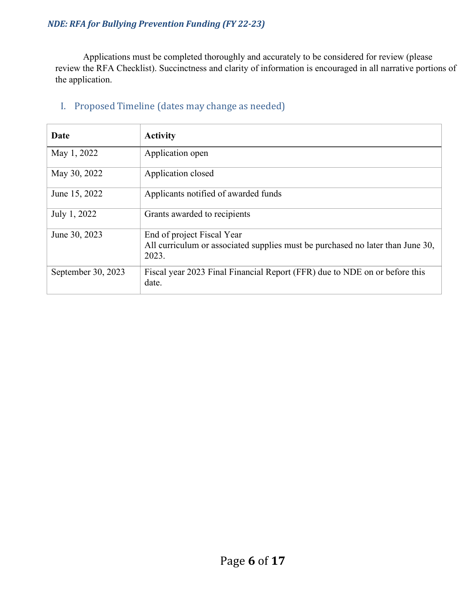Applications must be completed thoroughly and accurately to be considered for review (please review the RFA Checklist). Succinctness and clarity of information is encouraged in all narrative portions of the application.

| Date               | <b>Activity</b>                                                                         |
|--------------------|-----------------------------------------------------------------------------------------|
| May 1, 2022        | Application open                                                                        |
| May 30, 2022       | Application closed                                                                      |
| June 15, 2022      | Applicants notified of awarded funds                                                    |
| July 1, 2022       | Grants awarded to recipients                                                            |
| June 30, 2023      | End of project Fiscal Year                                                              |
|                    | All curriculum or associated supplies must be purchased no later than June 30,<br>2023. |
| September 30, 2023 | Fiscal year 2023 Final Financial Report (FFR) due to NDE on or before this<br>date.     |

#### I. Proposed Timeline (dates may change as needed)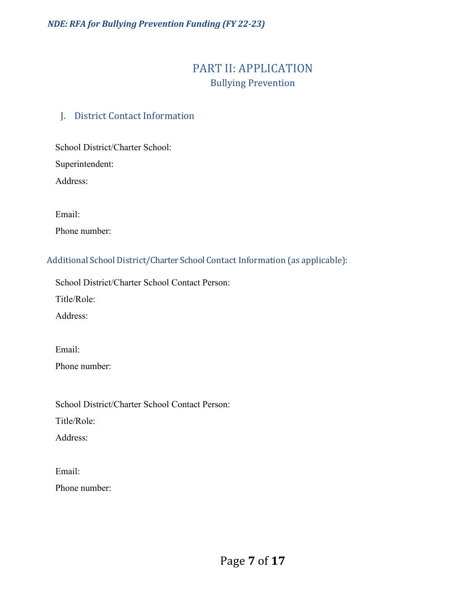# PART II: APPLICATION Bullying Prevention

# J. District Contact Information

School District/Charter School:

Superintendent:

Address:

Email:

Phone number:

Additional School District/Charter School Contact Information (as applicable):

School District/Charter School Contact Person:

Title/Role:

Address:

Email: Phone number:

School District/Charter School Contact Person:

Title/Role:

Address:

Email: Phone number: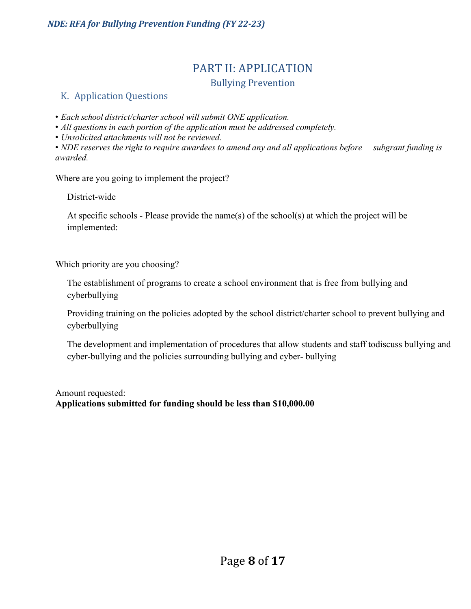# PART II: APPLICATION

#### Bullying Prevention

## K. Application Questions

• *Each school district/charter school will submit ONE application.*

• *All questions in each portion of the application must be addressed completely.*

• *Unsolicited attachments will not be reviewed.*

• *NDE reserves the right to require awardees to amend any and all applications before subgrant funding is awarded.*

Where are you going to implement the project?

District-wide

At specific schools - Please provide the name(s) of the school(s) at which the project will be implemented:

Which priority are you choosing?

The establishment of programs to create a school environment that is free from bullying and cyberbullying

Providing training on the policies adopted by the school district/charter school to prevent bullying and cyberbullying

The development and implementation of procedures that allow students and staff todiscuss bullying and cyber-bullying and the policies surrounding bullying and cyber- bullying

Amount requested: **Applications submitted for funding should be less than \$10,000.00**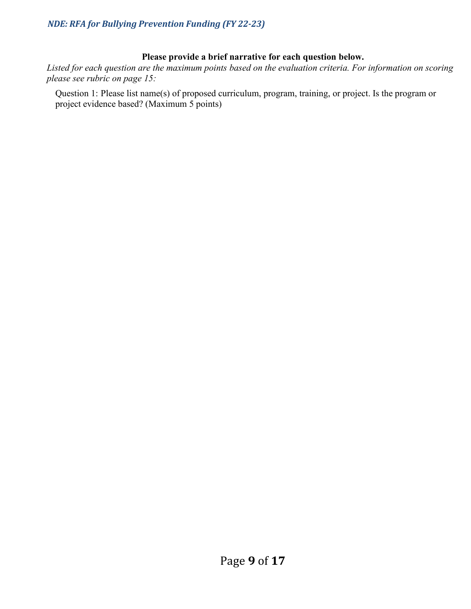#### **Please provide a brief narrative for each question below.**

*Listed for each question are the maximum points based on the evaluation criteria. For information on scoring please see rubric on page 15:*

Question 1: Please list name(s) of proposed curriculum, program, training, or project. Is the program or project evidence based? (Maximum 5 points)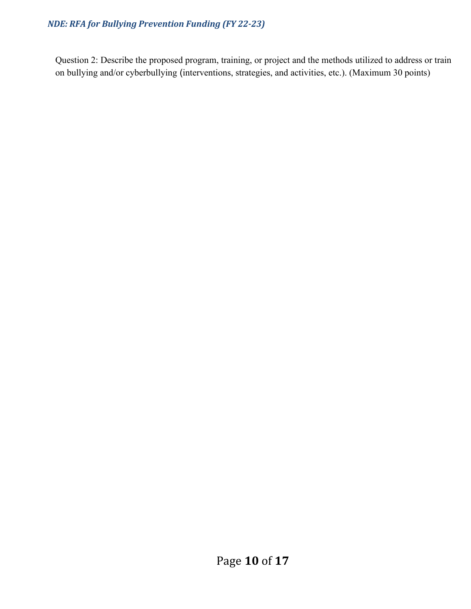Question 2: Describe the proposed program, training, or project and the methods utilized to address or train on bullying and/or cyberbullying (interventions, strategies, and activities, etc.). (Maximum 30 points)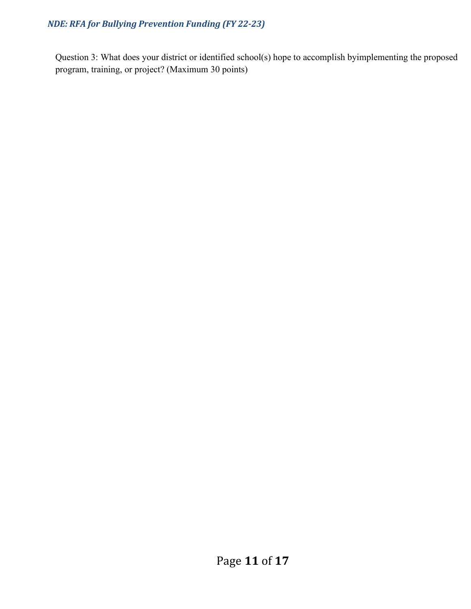Question 3: What does your district or identified school(s) hope to accomplish byimplementing the proposed program, training, or project? (Maximum 30 points)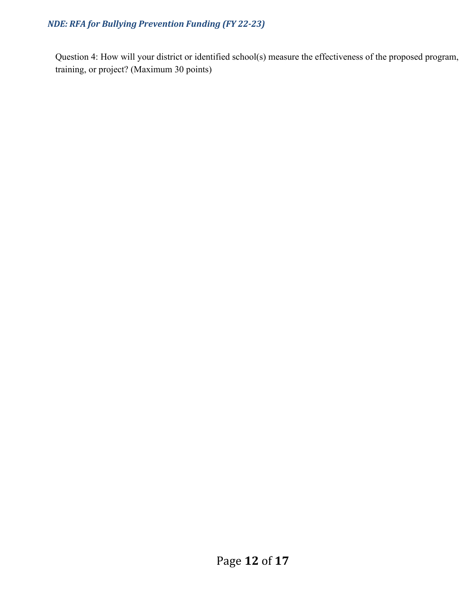Question 4: How will your district or identified school(s) measure the effectiveness of the proposed program, training, or project? (Maximum 30 points)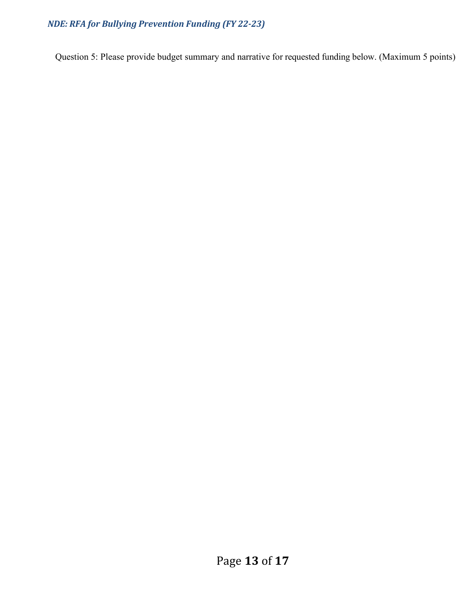Question 5: Please provide budget summary and narrative for requested funding below. (Maximum 5 points)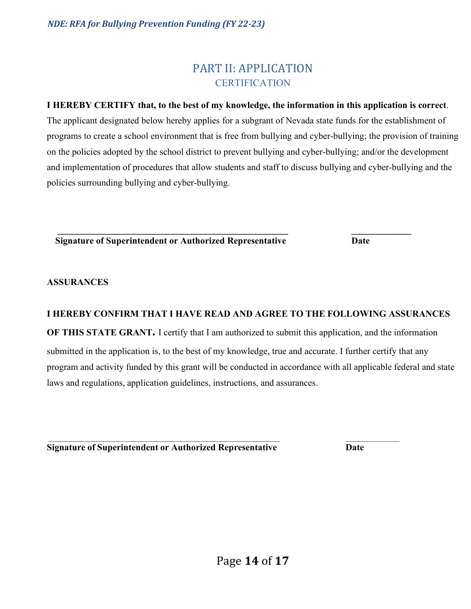# **CERTIFICATION**

## **I HEREBY CERTIFY that, to the best of my knowledge, the information in this application is correct**.

The applicant designated below hereby applies for a subgrant of Nevada state funds for the establishment of programs to create a school environment that is free from bullying and cyber-bullying; the provision of training on the policies adopted by the school district to prevent bullying and cyber-bullying; and/or the development and implementation of procedures that allow students and staff to discuss bullying and cyber-bullying and the policies surrounding bullying and cyber-bullying.

**\_\_\_\_\_\_\_\_\_\_\_\_\_\_\_\_\_\_\_\_\_\_\_\_\_\_\_\_\_\_\_\_\_\_\_\_\_\_\_\_\_\_\_\_\_\_\_\_\_\_ \_\_\_\_\_\_\_\_\_\_\_\_\_ Signature of Superintendent or Authorized Representative Date**

#### **ASSURANCES**

#### **I HEREBY CONFIRM THAT I HAVE READ AND AGREE TO THE FOLLOWING ASSURANCES**

**OF THIS STATE GRANT.** I certify that I am authorized to submit this application, and the information submitted in the application is, to the best of my knowledge, true and accurate. I further certify that any program and activity funded by this grant will be conducted in accordance with all applicable federal and state laws and regulations, application guidelines, instructions, and assurances.

 $\overline{\phantom{a}}$  , and the set of the set of the set of the set of the set of the set of the set of the set of the set of the set of the set of the set of the set of the set of the set of the set of the set of the set of the s **Signature of Superintendent or Authorized Representative Date**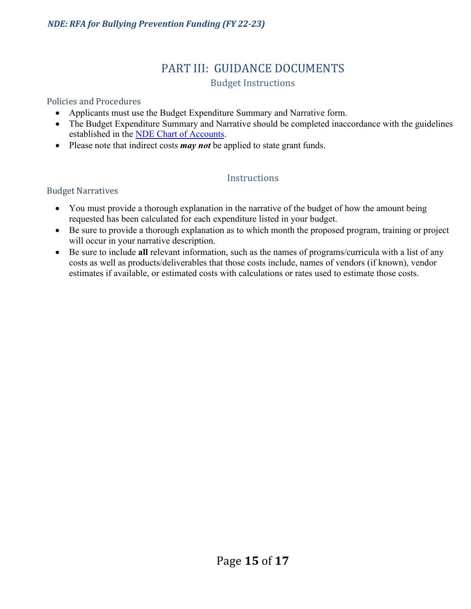# PART III: GUIDANCE DOCUMENTS Budget Instructions

#### Policies and Procedures

- Applicants must use the Budget Expenditure Summary and Narrative form.
- The Budget Expenditure Summary and Narrative should be completed inaccordance with the guidelines established in the [NDE Chart](http://www.doe.nv.gov/Business_and_Support_Svcs/) of Accounts.
- Please note that indirect costs *may not* be applied to state grant funds.

# **Instructions**

#### Budget Narratives

- You must provide a thorough explanation in the narrative of the budget of how the amount being requested has been calculated for each expenditure listed in your budget.
- Be sure to provide a thorough explanation as to which month the proposed program, training or project will occur in your narrative description.
- Be sure to include **all** relevant information, such as the names of programs/curricula with a list of any costs as well as products/deliverables that those costs include, names of vendors (if known), vendor estimates if available, or estimated costs with calculations or rates used to estimate those costs.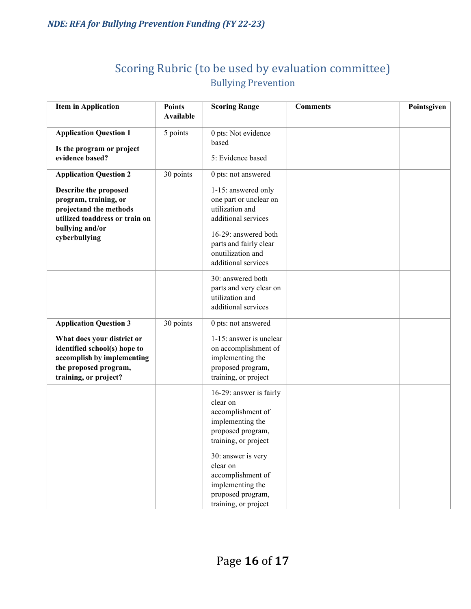# Scoring Rubric (to be used by evaluation committee) Bullying Prevention

| <b>Item in Application</b>                                                                                                                     | <b>Points</b><br><b>Available</b> | <b>Scoring Range</b>                                                                                                                                                                  | <b>Comments</b> | Pointsgiven |
|------------------------------------------------------------------------------------------------------------------------------------------------|-----------------------------------|---------------------------------------------------------------------------------------------------------------------------------------------------------------------------------------|-----------------|-------------|
|                                                                                                                                                |                                   |                                                                                                                                                                                       |                 |             |
| <b>Application Question 1</b>                                                                                                                  | 5 points                          | 0 pts: Not evidence                                                                                                                                                                   |                 |             |
| Is the program or project                                                                                                                      |                                   | based                                                                                                                                                                                 |                 |             |
| evidence based?                                                                                                                                |                                   | 5: Evidence based                                                                                                                                                                     |                 |             |
| <b>Application Question 2</b>                                                                                                                  | 30 points                         | 0 pts: not answered                                                                                                                                                                   |                 |             |
| Describe the proposed<br>program, training, or<br>projectand the methods<br>utilized toaddress or train on<br>bullying and/or<br>cyberbullying |                                   | 1-15: answered only<br>one part or unclear on<br>utilization and<br>additional services<br>16-29: answered both<br>parts and fairly clear<br>onutilization and<br>additional services |                 |             |
|                                                                                                                                                |                                   | 30: answered both<br>parts and very clear on<br>utilization and<br>additional services                                                                                                |                 |             |
| <b>Application Question 3</b>                                                                                                                  | 30 points                         | 0 pts: not answered                                                                                                                                                                   |                 |             |
| What does your district or<br>identified school(s) hope to<br>accomplish by implementing<br>the proposed program,<br>training, or project?     |                                   | 1-15: answer is unclear<br>on accomplishment of<br>implementing the<br>proposed program,<br>training, or project                                                                      |                 |             |
|                                                                                                                                                |                                   | 16-29: answer is fairly<br>clear on<br>accomplishment of<br>implementing the<br>proposed program,<br>training, or project                                                             |                 |             |
|                                                                                                                                                |                                   | 30: answer is very<br>clear on<br>accomplishment of<br>implementing the<br>proposed program,<br>training, or project                                                                  |                 |             |